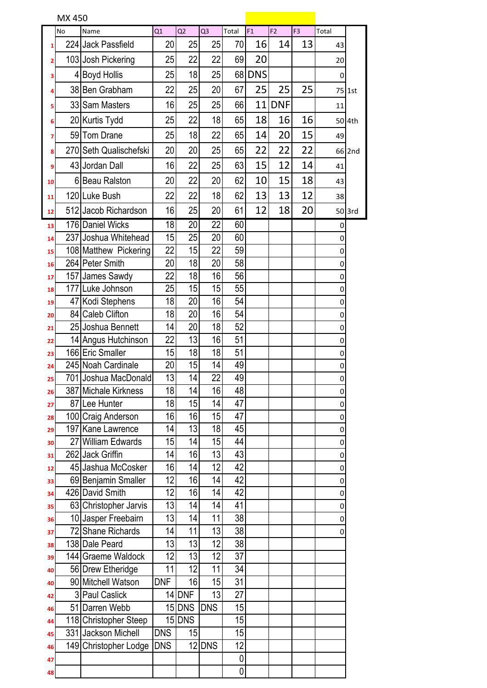| MX 450 |     |                        |            |        |                |                 |        |                |                |             |        |
|--------|-----|------------------------|------------|--------|----------------|-----------------|--------|----------------|----------------|-------------|--------|
|        | No  | Name                   | Q1         | Q2     | Q <sub>3</sub> | Total           | F1     | F <sub>2</sub> | F <sub>3</sub> | Total       |        |
| 1      |     | 224 Jack Passfield     | 20         | 25     | 25             | 70              | 16     | 14             | 13             | 43          |        |
| 2      |     | 103 Josh Pickering     | 25         | 22     | 22             | 69              | 20     |                |                | 20          |        |
| з      | 4   | <b>Boyd Hollis</b>     | 25         | 18     | 25             |                 | 68 DNS |                |                | 0           |        |
| 4      |     | 38 Ben Grabham         | 22         | 25     | 20             | 67              | 25     | 25             | 25             |             | 75 1st |
| 5      |     | 33 Sam Masters         | 16         | 25     | 25             | 66              | 11     | <b>DNF</b>     |                | 11          |        |
| 6      |     | 20 Kurtis Tydd         | 25         | 22     | 18             | 65              | 18     | 16             | 16             |             | 50 4th |
| 7      |     | 59 Tom Drane           | 25         | 18     | 22             | 65              | 14     | 20             | 15             | 49          |        |
| 8      |     | 270 Seth Qualischefski | 20         | 20     | 25             | 65              | 22     | 22             | 22             |             | 66 2nd |
| 9      |     | 43 Jordan Dall         | 16         | 22     | 25             | 63              | 15     | 12             | 14             | 41          |        |
| 10     |     | 6 Beau Ralston         | 20         | 22     | 20             | 62              | 10     | 15             | 18             | 43          |        |
| 11     |     | 120 Luke Bush          | 22         | 22     | 18             | 62              | 13     | 13             | 12             | 38          |        |
| 12     |     | 512 Jacob Richardson   | 16         | 25     | 20             | 61              | 12     | 18             | 20             |             | 50 3rd |
| 13     |     | 176 Daniel Wicks       | 18         | 20     | 22             | 60              |        |                |                | 0           |        |
| 14     |     | 237 Joshua Whitehead   | 15         | 25     | 20             | 60              |        |                |                | 0           |        |
| 15     |     | 108 Matthew Pickering  | 22         | 15     | 22             | 59              |        |                |                | 0           |        |
| 16     |     | 264 Peter Smith        | 20         | 18     | 20             | 58              |        |                |                | 0           |        |
| 17     |     | 157 James Sawdy        | 22         | 18     | 16             | 56              |        |                |                | $\mathbf 0$ |        |
| 18     | 177 | Luke Johnson           | 25         | 15     | 15             | $\overline{55}$ |        |                |                | 0           |        |
| 19     |     | 47 Kodi Stephens       | 18         | 20     | 16             | 54              |        |                |                | 0           |        |
| 20     |     | 84 Caleb Clifton       | 18         | 20     | 16             | 54              |        |                |                | 0           |        |
| 21     |     | 25 Joshua Bennett      | 14         | 20     | 18             | 52              |        |                |                | 0           |        |
| 22     |     | 14 Angus Hutchinson    | 22         | 13     | 16             | 51              |        |                |                | 0           |        |
| 23     |     | 166 Eric Smaller       | 15         | 18     | 18             | $\overline{51}$ |        |                |                | 0           |        |
| 24     |     | 245 Noah Cardinale     | 20         | 15     | 14             | 49              |        |                |                | 0           |        |
| 25     |     | 701 Joshua MacDonald   | 13         | 14     | 22             | $\overline{49}$ |        |                |                | 0           |        |
| 26     |     | 387 Michale Kirkness   | 18         | 14     | 16             | 48              |        |                |                | 0           |        |
| 27     |     | 87 Lee Hunter          | 18         | 15     | 14             | 47              |        |                |                | 0           |        |
| 28     |     | 100 Craig Anderson     | 16         | 16     | 15             | 47              |        |                |                | 0           |        |
| 29     |     | 197 Kane Lawrence      | 14         | 13     | 18             | 45              |        |                |                | 0           |        |
| 30     |     | 27 William Edwards     | 15         | 14     | 15             | $\overline{44}$ |        |                |                | 0           |        |
| 31     |     | 262 Jack Griffin       | 14         | 16     | 13             | 43              |        |                |                | 0           |        |
| 12     |     | 45 Jashua McCosker     | 16         | 14     | 12             | 42              |        |                |                | 0           |        |
| 33     |     | 69 Benjamin Smaller    | 12         | 16     | 14             | 42              |        |                |                | 0           |        |
| 34     |     | 426 David Smith        | 12         | 16     | 14             | 42              |        |                |                | 0           |        |
| 35     |     | 63 Christopher Jarvis  | 13         | 14     | 14             | 41              |        |                |                | 0           |        |
| 36     |     | 10 Jasper Freebairn    | 13         | 14     | 11             | $\overline{38}$ |        |                |                | 0           |        |
| 37     |     | 72 Shane Richards      | 14         | 11     | 13             | 38              |        |                |                | 0           |        |
| 38     |     | 138 Dale Peard         | 13         | 13     | 12             | 38              |        |                |                |             |        |
| 39     |     | 144 Graeme Waldock     | 12         | 13     | 12             | 37              |        |                |                |             |        |
| 40     |     | 56 Drew Etheridge      | 11         | 12     | 11             | 34              |        |                |                |             |        |
| 40     |     | 90 Mitchell Watson     | <b>DNF</b> | 16     | 15             | 31              |        |                |                |             |        |
| 42     |     | 3 Paul Caslick         |            | 14 DNF | 13             | 27              |        |                |                |             |        |
| 46     |     | 51 Darren Webb         |            | 15 DNS | <b>DNS</b>     | 15              |        |                |                |             |        |
| 44     |     | 118 Christopher Steep  |            | 15 DNS |                | 15              |        |                |                |             |        |
| 45     |     | 331 Jackson Michell    | <b>DNS</b> | 15     |                | $\overline{15}$ |        |                |                |             |        |
| 46     |     | 149 Christopher Lodge  | <b>DNS</b> |        | 12 DNS         | 12              |        |                |                |             |        |
| 47     |     |                        |            |        |                | 0               |        |                |                |             |        |
| 48     |     |                        |            |        |                | 0               |        |                |                |             |        |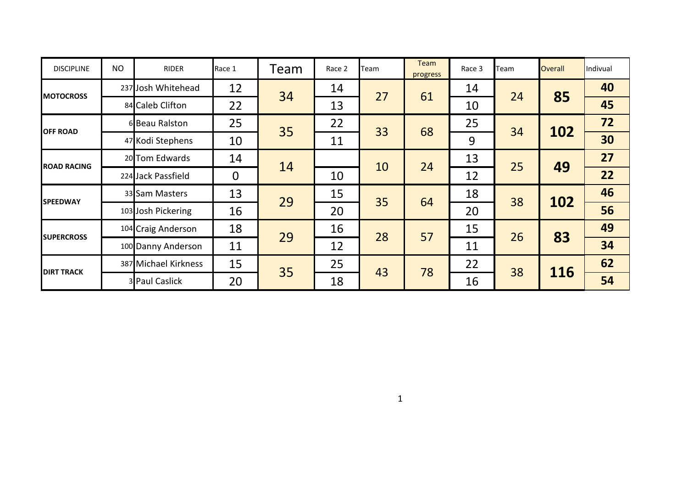| <b>DISCIPLINE</b>  | <b>NO</b> | <b>RIDER</b>         | Race 1      | Team | Race 2 | Team | Team<br>progress | Race 3 | Team | <b>Overall</b> | Indivual |
|--------------------|-----------|----------------------|-------------|------|--------|------|------------------|--------|------|----------------|----------|
|                    |           | 237 Josh Whitehead   | 12          | 34   | 14     |      |                  | 14     |      |                | 40       |
| <b>MOTOCROSS</b>   |           | 84 Caleb Clifton     | 22          |      | 13     | 27   | 61               | 10     | 24   | 85             | 45       |
|                    |           | 6 Beau Ralston       | 25          |      | 22     |      | 68               | 25     |      |                | 72       |
| <b>OFF ROAD</b>    |           | 47 Kodi Stephens     | 10          | 35   | 11     | 33   |                  | 9      | 34   | 102            | 30       |
|                    |           | 20 Tom Edwards       | 14          |      |        | 10   | 24               | 13     |      |                | 27       |
| <b>ROAD RACING</b> |           | 224 Jack Passfield   | $\mathbf 0$ | 14   | 10     |      |                  | 12     | 25   | 49             | 22       |
| <b>SPEEDWAY</b>    |           | 33 Sam Masters       | 13          | 29   | 15     | 35   | 64               | 18     | 38   | 102            | 46       |
|                    |           | 103 Josh Pickering   | 16          |      | 20     |      |                  | 20     |      |                | 56       |
| <b>SUPERCROSS</b>  |           | 104 Craig Anderson   | 18          | 29   | 16     | 28   | 57               | 15     | 26   | 83             | 49       |
|                    |           | 100 Danny Anderson   | 11          |      | 12     |      |                  | 11     |      |                | 34       |
| <b>DIRT TRACK</b>  |           | 387 Michael Kirkness | 15          |      | 25     |      |                  | 22     | 38   |                | 62       |
|                    |           | 3 Paul Caslick       | 20          | 35   | 18     | 43   | 78               | 16     |      | 116            | 54       |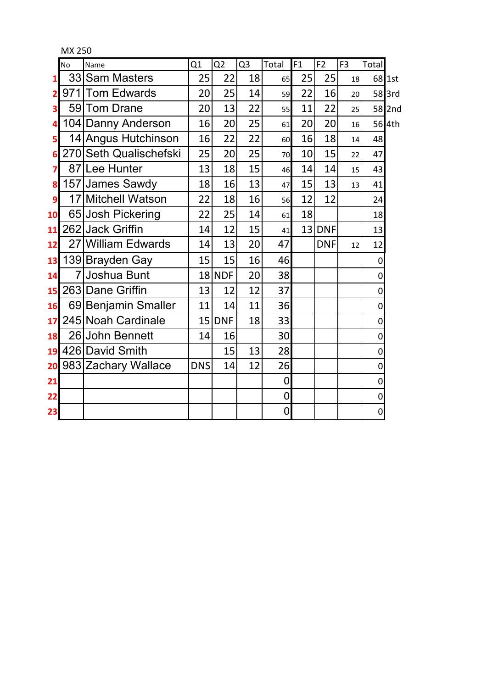|    | No             | Name                   | Q1              | Q2              | Q <sub>3</sub> | Total       | F1 | F <sub>2</sub> | F <sub>3</sub> | Total     |          |
|----|----------------|------------------------|-----------------|-----------------|----------------|-------------|----|----------------|----------------|-----------|----------|
| 1  |                | 33 Sam Masters         | 25              | 22              | 18             | 65          | 25 | 25             | 18             |           | 68 1st   |
| 2  |                | 971 Tom Edwards        | 20              | 25              | 14             | 59          | 22 | 16             | 20             |           | $58$ 3rd |
| 3  | 59             | Tom Drane              | 20              | 13              | 22             | 55          | 11 | 22             | 25             |           | 58 2nd   |
| 4  |                | 104 Danny Anderson     | 16              | 20              | 25             | 61          | 20 | 20             | 16             |           | 56 4th   |
| 5  |                | 14 Angus Hutchinson    | 16              | 22              | 22             | 60          | 16 | 18             | 14             | 48        |          |
| 6  |                | 270 Seth Qualischefski | 25              | 20 <sup>°</sup> | 25             | 70          | 10 | 15             | 22             | 47        |          |
| 7  |                | 87 Lee Hunter          | 13              | 18              | 15             | 46          | 14 | 14             | 15             | 43        |          |
| 8  |                | 157 James Sawdy        | 18              | 16              | 13             | 47          | 15 | 13             | 13             | 41        |          |
| 9  |                | 17 Mitchell Watson     | 22              | 18              | 16             | 56          | 12 | 12             |                | 24        |          |
| 10 |                | 65 Josh Pickering      | 22              | 25              | 14             | 61          | 18 |                |                | 18        |          |
| 11 |                | 262 Jack Griffin       | 14              | 12              | 15             | 41          | 13 | <b>DNF</b>     |                | 13        |          |
| 12 |                | 27 William Edwards     | 14              | 13              | 20             | 47          |    | <b>DNF</b>     | 12             | 12        |          |
| 13 |                | 139 Brayden Gay        | 15              | 15              | 16             | 46          |    |                |                | $\pmb{0}$ |          |
| 14 | $\overline{7}$ | Joshua Bunt            |                 | 18 NDF          | 20             | 38          |    |                |                | 0         |          |
| 15 |                | 263 Dane Griffin       | 13              | 12              | 12             | 37          |    |                |                | 0         |          |
| 16 |                | 69 Benjamin Smaller    | 11              | 14              | 11             | 36          |    |                |                | 0         |          |
| 17 |                | 245 Noah Cardinale     | 15 <sup>1</sup> | <b>DNF</b>      | 18             | 33          |    |                |                | 0         |          |
| 18 |                | 26 John Bennett        | 14              | 16              |                | 30          |    |                |                | $\pmb{0}$ |          |
| 19 |                | 426 David Smith        |                 | 15              | 13             | 28          |    |                |                | 0         |          |
| 20 |                | 983 Zachary Wallace    | <b>DNS</b>      | 14              | 12             | 26          |    |                |                | $\pmb{0}$ |          |
| 21 |                |                        |                 |                 |                | 0           |    |                |                | $\pmb{0}$ |          |
| 22 |                |                        |                 |                 |                | $\mathbf 0$ |    |                |                | $\pmb{0}$ |          |
| 23 |                |                        |                 |                 |                | $\pmb{0}$   |    |                |                | 0         |          |

MX 250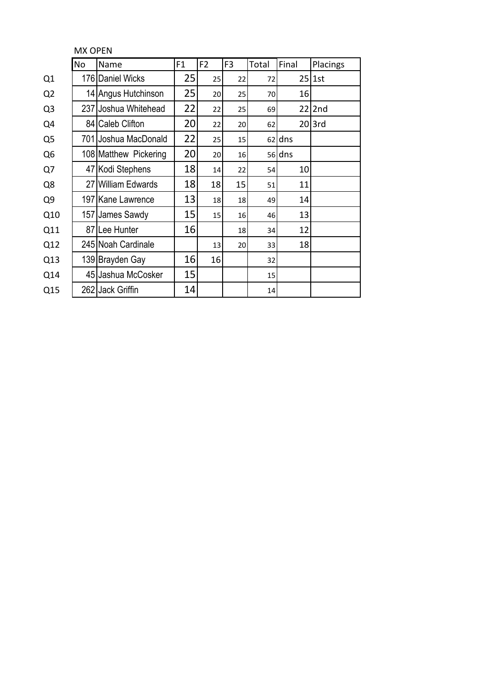|                | <b>MX OPEN</b>    |                        |    |                |                |       |          |           |  |  |  |  |
|----------------|-------------------|------------------------|----|----------------|----------------|-------|----------|-----------|--|--|--|--|
|                | <b>No</b><br>Name |                        | F1 | F <sub>2</sub> | F <sub>3</sub> | Total | Final    | Placings  |  |  |  |  |
| Q <sub>1</sub> |                   | 176 Daniel Wicks       | 25 | 25             | 22             | 72    |          | $25$ 1st  |  |  |  |  |
| Q <sub>2</sub> |                   | 14 Angus Hutchinson    | 25 | 20             | 25             | 70    | 16       |           |  |  |  |  |
| Q <sub>3</sub> | 237               | Joshua Whitehead       | 22 | 22             | 25             | 69    | 22       | 2nd       |  |  |  |  |
| Q4             | 84                | <b>Caleb Clifton</b>   | 20 | 22             | 20             | 62    |          | $20$  3rd |  |  |  |  |
| Q <sub>5</sub> | 701               | Joshua MacDonald       | 22 | 25             | 15             |       | $62$ dns |           |  |  |  |  |
| Q <sub>6</sub> |                   | 108 Matthew Pickering  | 20 | 20             | 16             |       | 56 dns   |           |  |  |  |  |
| Q7             |                   | 47 Kodi Stephens       | 18 | 14             | 22             | 54    | 10       |           |  |  |  |  |
| Q8             | 27                | <b>William Edwards</b> | 18 | 18             | 15             | 51    | 11       |           |  |  |  |  |
| Q <sub>9</sub> |                   | 197 Kane Lawrence      | 13 | 18             | 18             | 49    | 14       |           |  |  |  |  |
| Q10            |                   | 157 James Sawdy        | 15 | 15             | 16             | 46    | 13       |           |  |  |  |  |
| Q11            |                   | 87 Lee Hunter          | 16 |                | 18             | 34    | 12       |           |  |  |  |  |
| Q12            |                   | 245 Noah Cardinale     |    | 13             | 20             | 33    | 18       |           |  |  |  |  |
| Q13            |                   | 139 Brayden Gay        | 16 | 16             |                | 32    |          |           |  |  |  |  |
| Q14            |                   | 45 Jashua McCosker     | 15 |                |                | 15    |          |           |  |  |  |  |
| Q15            |                   | 262 Jack Griffin       | 14 |                |                | 14    |          |           |  |  |  |  |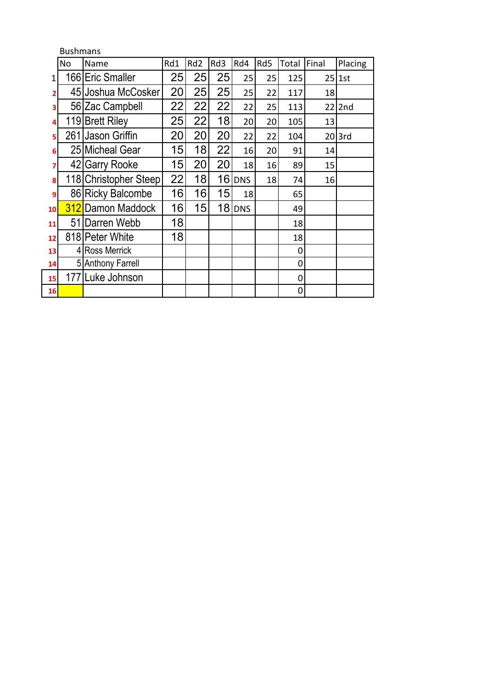|    | <b>Bushmans</b> |                       |     |                 |                 |            |     |       |       |           |  |  |
|----|-----------------|-----------------------|-----|-----------------|-----------------|------------|-----|-------|-------|-----------|--|--|
|    | No              | Name                  | Rd1 | Rd <sub>2</sub> | Rd3             | Rd4        | Rd5 | Total | Final | Placing   |  |  |
| 1  |                 | 166 Eric Smaller      | 25  | 25              | 25              | 25         | 25  | 125   |       | $25$ 1st  |  |  |
| 2  |                 | 45 Joshua McCosker    | 20  | 25              | 25              | 25         | 22  | 117   | 18    |           |  |  |
| 3  |                 | 56 Zac Campbell       | 22  | 22              | 22              | 22         | 25  | 113   | 22    | 2nd       |  |  |
| 4  |                 | 119 Brett Riley       | 25  | 22              | 18              | 20         | 20  | 105   | 13    |           |  |  |
| 5  |                 | 261 Jason Griffin     | 20  | 20              | 20              | 22         | 22  | 104   |       | $20$  3rd |  |  |
| 6  |                 | 25 Micheal Gear       | 15  | 18              | 22              | 16         | 20  | 91    | 14    |           |  |  |
| 7  |                 | 42 Garry Rooke        | 15  | 20              | 20              | 18         | 16  | 89    | 15    |           |  |  |
| 8  |                 | 118 Christopher Steep | 22  | 18              | 16              | <b>DNS</b> | 18  | 74    | 16    |           |  |  |
| 9  |                 | 86 Ricky Balcombe     | 16  | 16              | 15              | 18         |     | 65    |       |           |  |  |
| 10 |                 | 312 Damon Maddock     | 16  | 15              | 18 <sup>l</sup> | <b>DNS</b> |     | 49    |       |           |  |  |
| 11 |                 | 51 Darren Webb        | 18  |                 |                 |            |     | 18    |       |           |  |  |
| 12 |                 | 818 Peter White       | 18  |                 |                 |            |     | 18    |       |           |  |  |
| 13 |                 | 4 Ross Merrick        |     |                 |                 |            |     | 0     |       |           |  |  |
| 14 |                 | 5 Anthony Farrell     |     |                 |                 |            |     | 0     |       |           |  |  |
| 15 |                 | 177 Luke Johnson      |     |                 |                 |            |     | 0     |       |           |  |  |
| 16 |                 |                       |     |                 |                 |            |     | 0     |       |           |  |  |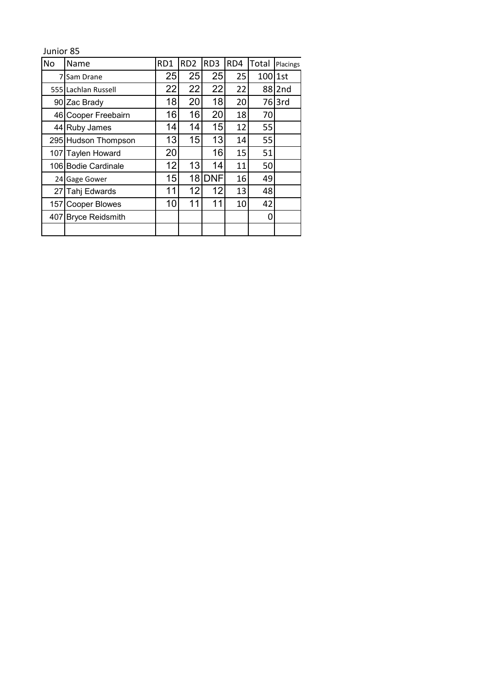Junior 85

| No             | Name                   | RD1 | RD <sub>2</sub> | RD <sub>3</sub> | RD4 | Total     | Placings          |
|----------------|------------------------|-----|-----------------|-----------------|-----|-----------|-------------------|
| $\overline{7}$ | Sam Drane              | 25  | 25              | 25              | 25  | $100$ 1st |                   |
|                | 555 Lachlan Russell    | 22  | 22              | 22              | 22  |           | 88 2nd            |
|                | 90 Zac Brady           | 18  | 20              | 18              | 20  |           | 76 <sub>3rd</sub> |
|                | 46 Cooper Freebairn    | 16  | 16              | 20              | 18  | 70        |                   |
|                | 44 Ruby James          | 14  | 14              | 15              | 12  | 55        |                   |
|                | 295 Hudson Thompson    | 13  | 15              | 13              | 14  | 55        |                   |
|                | 107 Taylen Howard      | 20  |                 | 16              | 15  | 51        |                   |
|                | 106 Bodie Cardinale    | 12  | 13              | 14              | 11  | 50        |                   |
|                | 24 Gage Gower          | 15  | 18 <sup>l</sup> | <b>DNF</b>      | 16  | 49        |                   |
| 27             | <b>Tahj Edwards</b>    | 11  | 12              | 12              | 13  | 48        |                   |
| 157 I          | <b>Cooper Blowes</b>   | 10  | 11              | 11              | 10  | 42        |                   |
| 407            | <b>Bryce Reidsmith</b> |     |                 |                 |     | 0         |                   |
|                |                        |     |                 |                 |     |           |                   |